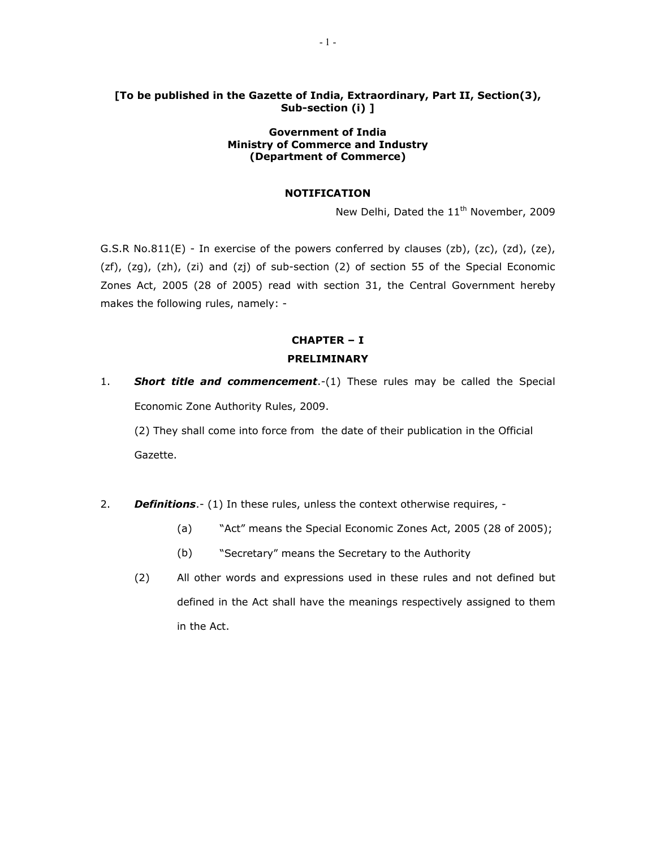### **[To be published in the Gazette of India, Extraordinary, Part II, Section(3), Sub-section (i) ]**

### **Government of India Ministry of Commerce and Industry (Department of Commerce)**

### **NOTIFICATION**

New Delhi, Dated the 11<sup>th</sup> November, 2009

G.S.R No.811(E) - In exercise of the powers conferred by clauses (zb), (zc), (zd), (ze), (zf), (zg), (zh), (zi) and (zj) of sub-section (2) of section 55 of the Special Economic Zones Act, 2005 (28 of 2005) read with section 31, the Central Government hereby makes the following rules, namely: -

# **CHAPTER – I PRELIMINARY**

1. **Short title and commencement**.-(1) These rules may be called the Special Economic Zone Authority Rules, 2009.

(2) They shall come into force from the date of their publication in the Official Gazette.

- 2. *Definitions*.- (1) In these rules, unless the context otherwise requires,
	- (a) "Act" means the Special Economic Zones Act, 2005 (28 of 2005);
	- (b) "Secretary" means the Secretary to the Authority
	- (2) All other words and expressions used in these rules and not defined but defined in the Act shall have the meanings respectively assigned to them in the Act.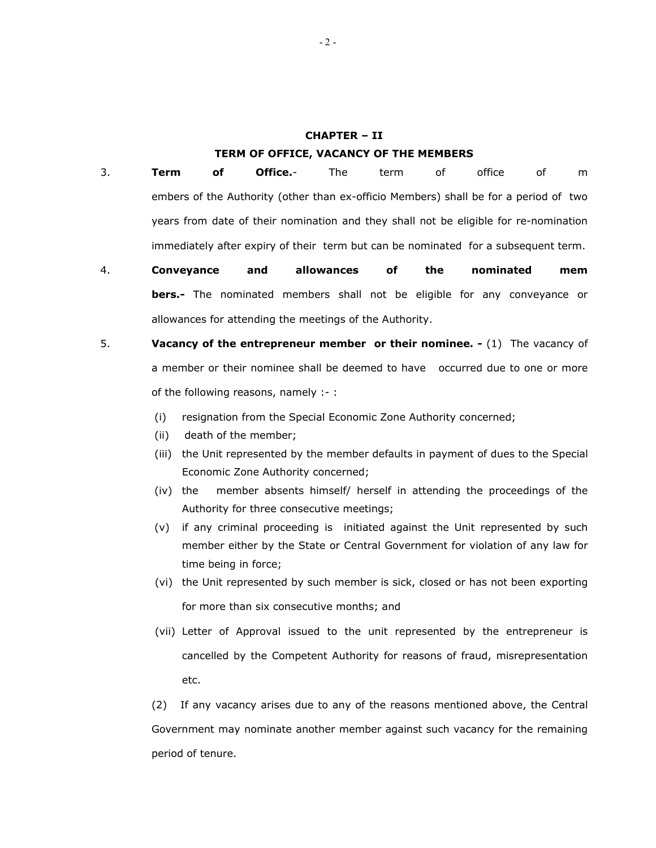# **CHAPTER – II TERM OF OFFICE, VACANCY OF THE MEMBERS**

- 3. **Term of Office.** The term of office of m embers of the Authority (other than ex-officio Members) shall be for a period of two years from date of their nomination and they shall not be eligible for re-nomination immediately after expiry of their term but can be nominated for a subsequent term.
- 4. **Conveyance and allowances of the nominated mem bers.-** The nominated members shall not be eligible for any conveyance or allowances for attending the meetings of the Authority.
- 5. **Vacancy of the entrepreneur member or their nominee.** (1) The vacancy of a member or their nominee shall be deemed to have occurred due to one or more of the following reasons, namely :- :
	- (i) resignation from the Special Economic Zone Authority concerned;
	- (ii) death of the member;
	- (iii) the Unit represented by the member defaults in payment of dues to the Special Economic Zone Authority concerned;
	- (iv) the member absents himself/ herself in attending the proceedings of the Authority for three consecutive meetings;
	- (v) if any criminal proceeding is initiated against the Unit represented by such member either by the State or Central Government for violation of any law for time being in force;
	- (vi) the Unit represented by such member is sick, closed or has not been exporting for more than six consecutive months; and
	- (vii) Letter of Approval issued to the unit represented by the entrepreneur is cancelled by the Competent Authority for reasons of fraud, misrepresentation etc.

(2) If any vacancy arises due to any of the reasons mentioned above, the Central Government may nominate another member against such vacancy for the remaining period of tenure.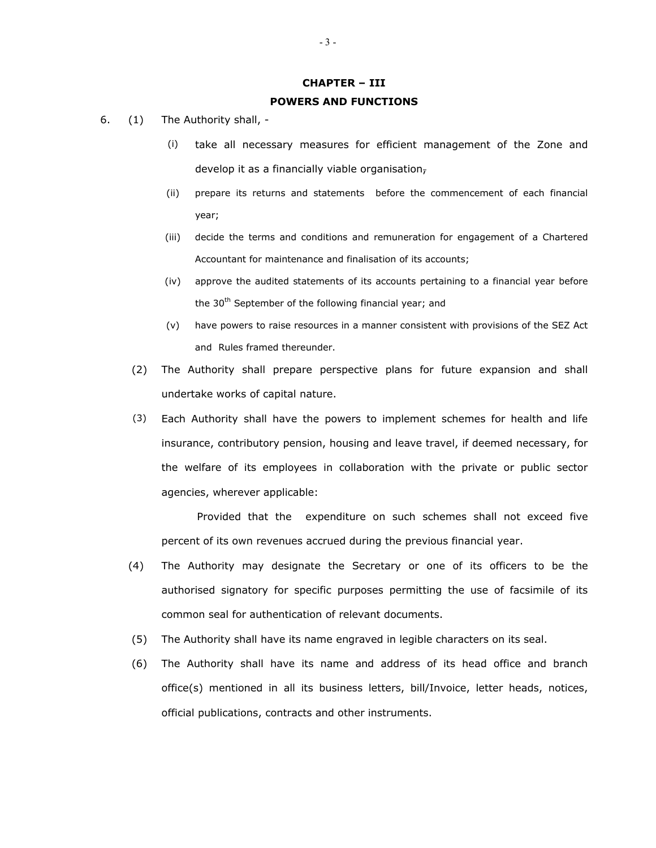#### **CHAPTER – III**

#### **POWERS AND FUNCTIONS**

- 6. (1) The Authority shall,
	- (i) take all necessary measures for efficient management of the Zone and develop it as a financially viable organisation-
	- (ii) prepare its returns and statements before the commencement of each financial year;
	- (iii) decide the terms and conditions and remuneration for engagement of a Chartered Accountant for maintenance and finalisation of its accounts;
	- (iv) approve the audited statements of its accounts pertaining to a financial year before the  $30<sup>th</sup>$  September of the following financial year; and
	- (v) have powers to raise resources in a manner consistent with provisions of the SEZ Act and Rules framed thereunder.
	- (2) The Authority shall prepare perspective plans for future expansion and shall undertake works of capital nature.
	- (3) Each Authority shall have the powers to implement schemes for health and life insurance, contributory pension, housing and leave travel, if deemed necessary, for the welfare of its employees in collaboration with the private or public sector agencies, wherever applicable:

 Provided that the expenditure on such schemes shall not exceed five percent of its own revenues accrued during the previous financial year.

- (4) The Authority may designate the Secretary or one of its officers to be the authorised signatory for specific purposes permitting the use of facsimile of its common seal for authentication of relevant documents.
- (5) The Authority shall have its name engraved in legible characters on its seal.
- (6) The Authority shall have its name and address of its head office and branch office(s) mentioned in all its business letters, bill/Invoice, letter heads, notices, official publications, contracts and other instruments.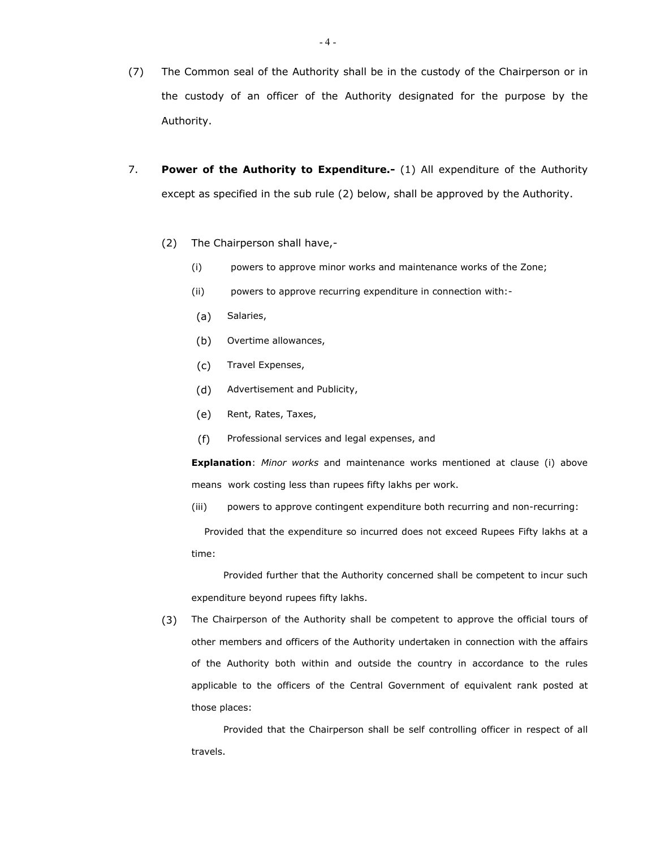- (7) The Common seal of the Authority shall be in the custody of the Chairperson or in the custody of an officer of the Authority designated for the purpose by the Authority.
- 7. **Power of the Authority to Expenditure.-** (1) All expenditure of the Authority except as specified in the sub rule (2) below, shall be approved by the Authority.
	- (2) The Chairperson shall have,-
		- (i) powers to approve minor works and maintenance works of the Zone;
		- (ii) powers to approve recurring expenditure in connection with:-
		- (a) Salaries,
		- (b) Overtime allowances,
		- (c) Travel Expenses,
		- (d) Advertisement and Publicity,
		- (e) Rent, Rates, Taxes,
		- (f) Professional services and legal expenses, and

**Explanation**: *Minor works* and maintenance works mentioned at clause (i) above means work costing less than rupees fifty lakhs per work.

(iii) powers to approve contingent expenditure both recurring and non-recurring:

 Provided that the expenditure so incurred does not exceed Rupees Fifty lakhs at a time:

 Provided further that the Authority concerned shall be competent to incur such expenditure beyond rupees fifty lakhs.

(3) The Chairperson of the Authority shall be competent to approve the official tours of other members and officers of the Authority undertaken in connection with the affairs of the Authority both within and outside the country in accordance to the rules applicable to the officers of the Central Government of equivalent rank posted at those places:

 Provided that the Chairperson shall be self controlling officer in respect of all travels.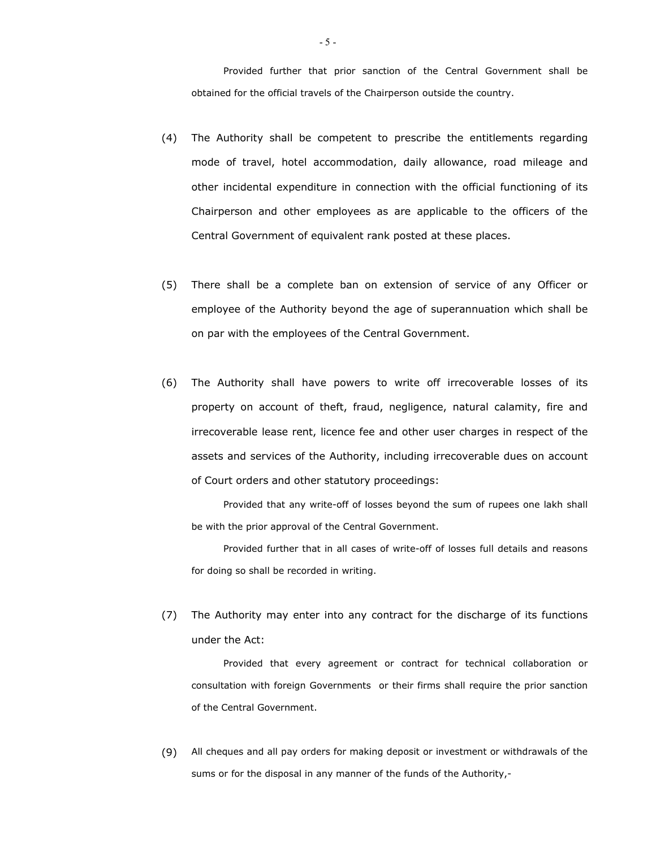Provided further that prior sanction of the Central Government shall be obtained for the official travels of the Chairperson outside the country.

- (4) The Authority shall be competent to prescribe the entitlements regarding mode of travel, hotel accommodation, daily allowance, road mileage and other incidental expenditure in connection with the official functioning of its Chairperson and other employees as are applicable to the officers of the Central Government of equivalent rank posted at these places.
- (5) There shall be a complete ban on extension of service of any Officer or employee of the Authority beyond the age of superannuation which shall be on par with the employees of the Central Government.
- (6) The Authority shall have powers to write off irrecoverable losses of its property on account of theft, fraud, negligence, natural calamity, fire and irrecoverable lease rent, licence fee and other user charges in respect of the assets and services of the Authority, including irrecoverable dues on account of Court orders and other statutory proceedings:

 Provided that any write-off of losses beyond the sum of rupees one lakh shall be with the prior approval of the Central Government.

 Provided further that in all cases of write-off of losses full details and reasons for doing so shall be recorded in writing.

(7) The Authority may enter into any contract for the discharge of its functions under the Act:

 Provided that every agreement or contract for technical collaboration or consultation with foreign Governments or their firms shall require the prior sanction of the Central Government.

(9) All cheques and all pay orders for making deposit or investment or withdrawals of the sums or for the disposal in any manner of the funds of the Authority,-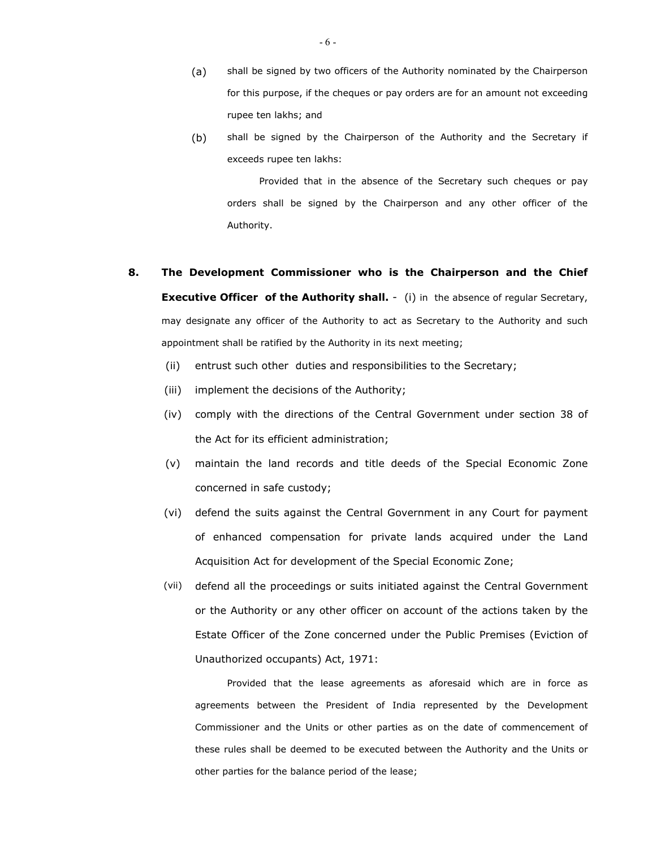- (a) shall be signed by two officers of the Authority nominated by the Chairperson for this purpose, if the cheques or pay orders are for an amount not exceeding rupee ten lakhs; and
- (b) shall be signed by the Chairperson of the Authority and the Secretary if exceeds rupee ten lakhs:

 Provided that in the absence of the Secretary such cheques or pay orders shall be signed by the Chairperson and any other officer of the Authority.

# **8. The Development Commissioner who is the Chairperson and the Chief Executive Officer of the Authority shall.** - (i) in the absence of regular Secretary, may designate any officer of the Authority to act as Secretary to the Authority and such appointment shall be ratified by the Authority in its next meeting;

- (ii) entrust such other duties and responsibilities to the Secretary;
- (iii) implement the decisions of the Authority;
- (iv) comply with the directions of the Central Government under section 38 of the Act for its efficient administration;
- (v) maintain the land records and title deeds of the Special Economic Zone concerned in safe custody;
- (vi) defend the suits against the Central Government in any Court for payment of enhanced compensation for private lands acquired under the Land Acquisition Act for development of the Special Economic Zone;
- (vii) defend all the proceedings or suits initiated against the Central Government or the Authority or any other officer on account of the actions taken by the Estate Officer of the Zone concerned under the Public Premises (Eviction of Unauthorized occupants) Act, 1971:

 Provided that the lease agreements as aforesaid which are in force as agreements between the President of India represented by the Development Commissioner and the Units or other parties as on the date of commencement of these rules shall be deemed to be executed between the Authority and the Units or other parties for the balance period of the lease;

- 6 -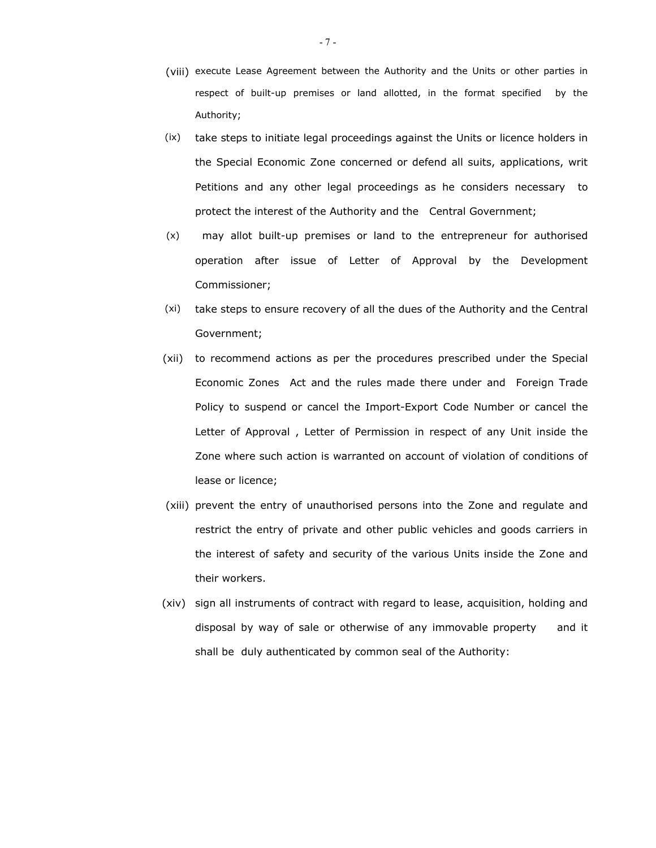- (viii) execute Lease Agreement between the Authority and the Units or other parties in respect of built-up premises or land allotted, in the format specified by the Authority;
- (ix) take steps to initiate legal proceedings against the Units or licence holders in the Special Economic Zone concerned or defend all suits, applications, writ Petitions and any other legal proceedings as he considers necessary to protect the interest of the Authority and the Central Government;
- (x) may allot built-up premises or land to the entrepreneur for authorised operation after issue of Letter of Approval by the Development Commissioner;
- (xi) take steps to ensure recovery of all the dues of the Authority and the Central Government;
- (xii) to recommend actions as per the procedures prescribed under the Special Economic Zones Act and the rules made there under and Foreign Trade Policy to suspend or cancel the Import-Export Code Number or cancel the Letter of Approval , Letter of Permission in respect of any Unit inside the Zone where such action is warranted on account of violation of conditions of lease or licence;
- (xiii) prevent the entry of unauthorised persons into the Zone and regulate and restrict the entry of private and other public vehicles and goods carriers in the interest of safety and security of the various Units inside the Zone and their workers.
- (xiv) sign all instruments of contract with regard to lease, acquisition, holding and disposal by way of sale or otherwise of any immovable property and it shall be duly authenticated by common seal of the Authority: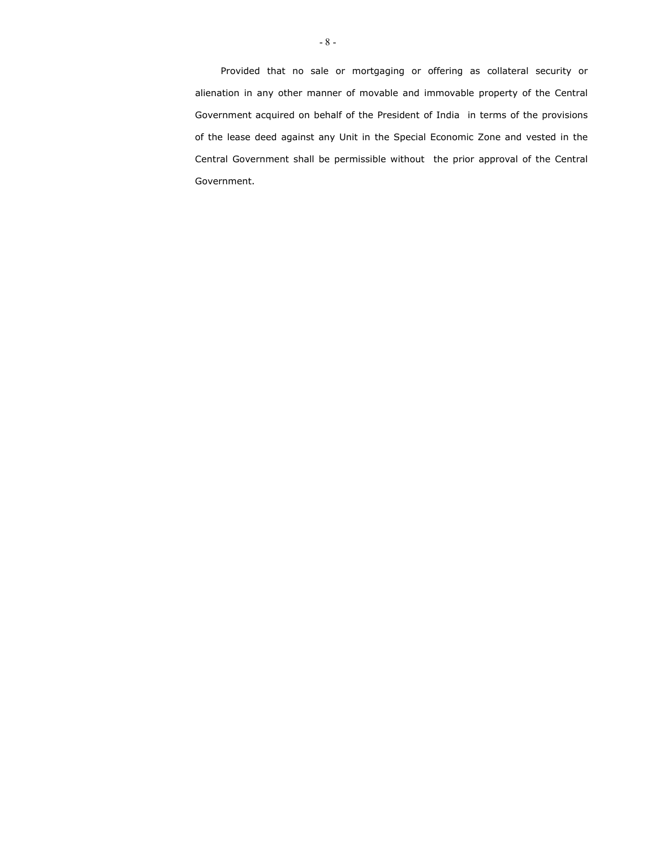Provided that no sale or mortgaging or offering as collateral security or alienation in any other manner of movable and immovable property of the Central Government acquired on behalf of the President of India in terms of the provisions of the lease deed against any Unit in the Special Economic Zone and vested in the Central Government shall be permissible without the prior approval of the Central Government.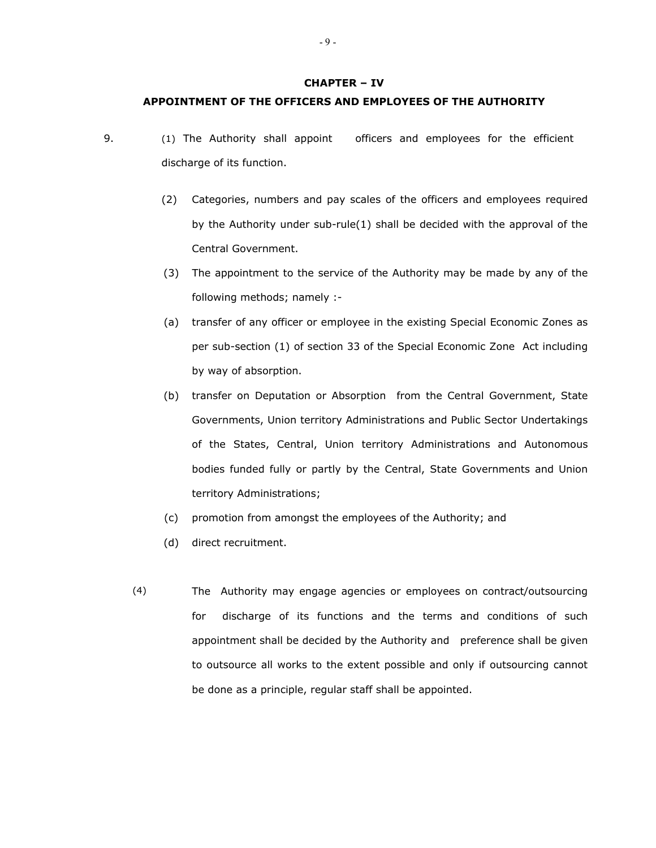#### **CHAPTER – IV**

### **APPOINTMENT OF THE OFFICERS AND EMPLOYEES OF THE AUTHORITY**

- 9. (1) The Authority shall appoint officers and employees for the efficient discharge of its function.
	- (2) Categories, numbers and pay scales of the officers and employees required by the Authority under sub-rule(1) shall be decided with the approval of the Central Government.
	- (3) The appointment to the service of the Authority may be made by any of the following methods; namely :-
	- (a) transfer of any officer or employee in the existing Special Economic Zones as per sub-section (1) of section 33 of the Special Economic Zone Act including by way of absorption.
	- (b) transfer on Deputation or Absorption from the Central Government, State Governments, Union territory Administrations and Public Sector Undertakings of the States, Central, Union territory Administrations and Autonomous bodies funded fully or partly by the Central, State Governments and Union territory Administrations;
	- (c) promotion from amongst the employees of the Authority; and
	- (d) direct recruitment.
	- (4) The Authority may engage agencies or employees on contract/outsourcing for discharge of its functions and the terms and conditions of such appointment shall be decided by the Authority and preference shall be given to outsource all works to the extent possible and only if outsourcing cannot be done as a principle, regular staff shall be appointed.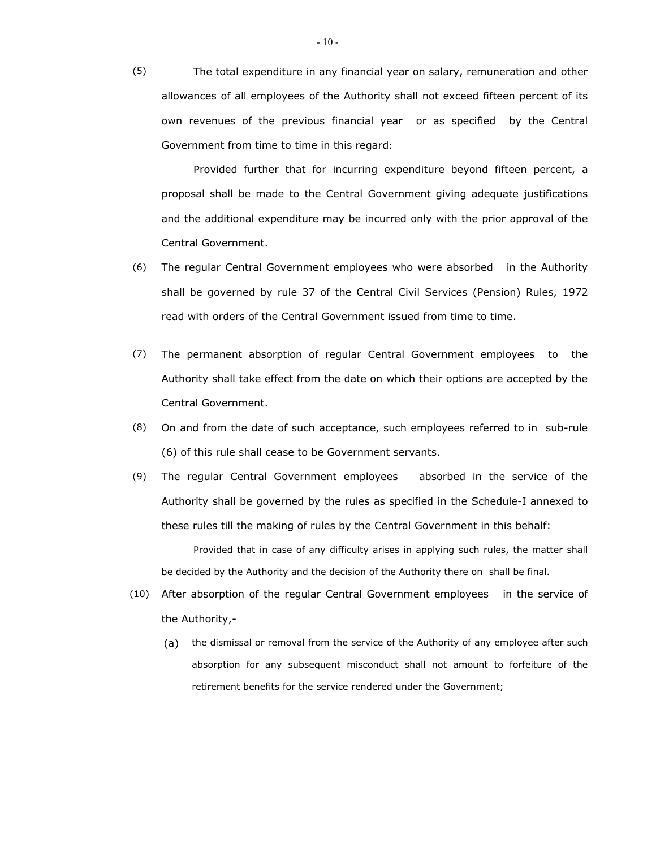(5) The total expenditure in any financial year on salary, remuneration and other allowances of all employees of the Authority shall not exceed fifteen percent of its own revenues of the previous financial year or as specified by the Central Government from time to time in this regard:

 Provided further that for incurring expenditure beyond fifteen percent, a proposal shall be made to the Central Government giving adequate justifications and the additional expenditure may be incurred only with the prior approval of the Central Government.

- (6) The regular Central Government employees who were absorbed in the Authority shall be governed by rule 37 of the Central Civil Services (Pension) Rules, 1972 read with orders of the Central Government issued from time to time.
- (7) The permanent absorption of regular Central Government employees to the Authority shall take effect from the date on which their options are accepted by the Central Government.
- (8) On and from the date of such acceptance, such employees referred to in sub-rule (6) of this rule shall cease to be Government servants.
- (9) The regular Central Government employees absorbed in the service of the Authority shall be governed by the rules as specified in the Schedule-I annexed to these rules till the making of rules by the Central Government in this behalf:

 Provided that in case of any difficulty arises in applying such rules, the matter shall be decided by the Authority and the decision of the Authority there on shall be final.

- (10) After absorption of the regular Central Government employees in the service of the Authority,-
	- (a) the dismissal or removal from the service of the Authority of any employee after such absorption for any subsequent misconduct shall not amount to forfeiture of the retirement benefits for the service rendered under the Government;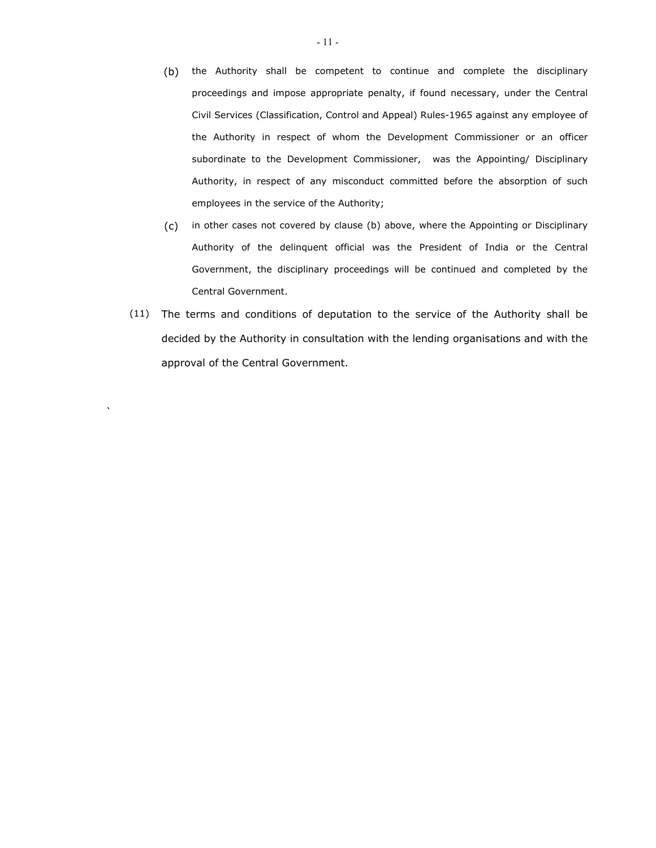- (b) the Authority shall be competent to continue and complete the disciplinary proceedings and impose appropriate penalty, if found necessary, under the Central Civil Services (Classification, Control and Appeal) Rules-1965 against any employee of the Authority in respect of whom the Development Commissioner or an officer subordinate to the Development Commissioner, was the Appointing/ Disciplinary Authority, in respect of any misconduct committed before the absorption of such employees in the service of the Authority;
- (c) in other cases not covered by clause (b) above, where the Appointing or Disciplinary Authority of the delinquent official was the President of India or the Central Government, the disciplinary proceedings will be continued and completed by the Central Government.
- (11) The terms and conditions of deputation to the service of the Authority shall be decided by the Authority in consultation with the lending organisations and with the approval of the Central Government.

 $\sum_{i=1}^{n}$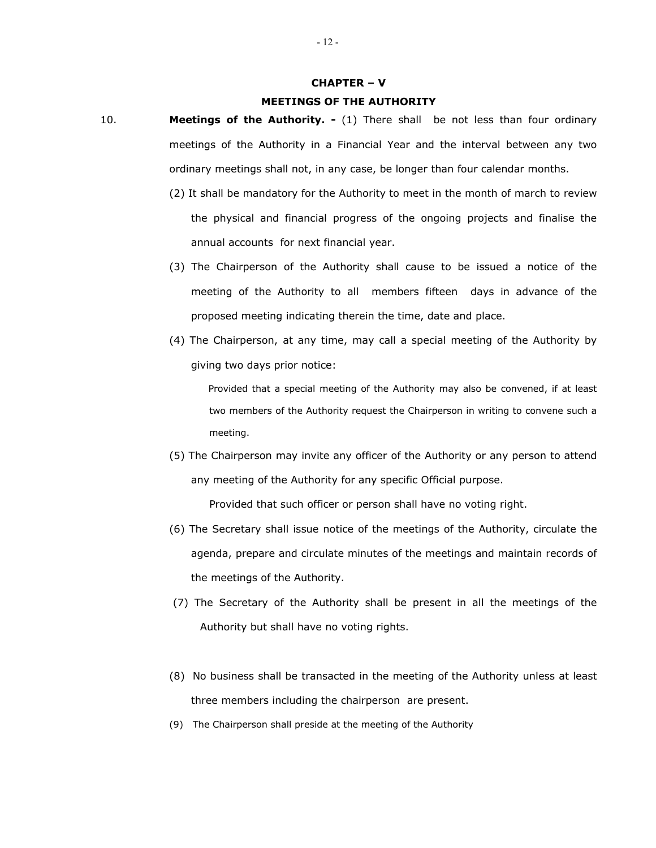#### **CHAPTER – V**

#### **MEETINGS OF THE AUTHORITY**

- 10. **Meetings of the Authority.** (1) There shall be not less than four ordinary meetings of the Authority in a Financial Year and the interval between any two ordinary meetings shall not, in any case, be longer than four calendar months.
	- (2) It shall be mandatory for the Authority to meet in the month of march to review the physical and financial progress of the ongoing projects and finalise the annual accounts for next financial year.
	- (3) The Chairperson of the Authority shall cause to be issued a notice of the meeting of the Authority to all members fifteen days in advance of the proposed meeting indicating therein the time, date and place.
	- (4) The Chairperson, at any time, may call a special meeting of the Authority by giving two days prior notice:

 Provided that a special meeting of the Authority may also be convened, if at least two members of the Authority request the Chairperson in writing to convene such a meeting.

- (5) The Chairperson may invite any officer of the Authority or any person to attend any meeting of the Authority for any specific Official purpose. Provided that such officer or person shall have no voting right.
- (6) The Secretary shall issue notice of the meetings of the Authority, circulate the agenda, prepare and circulate minutes of the meetings and maintain records of the meetings of the Authority.
- (7) The Secretary of the Authority shall be present in all the meetings of the Authority but shall have no voting rights.
- (8)No business shall be transacted in the meeting of the Authority unless at least three members including the chairperson are present.
- (9) The Chairperson shall preside at the meeting of the Authority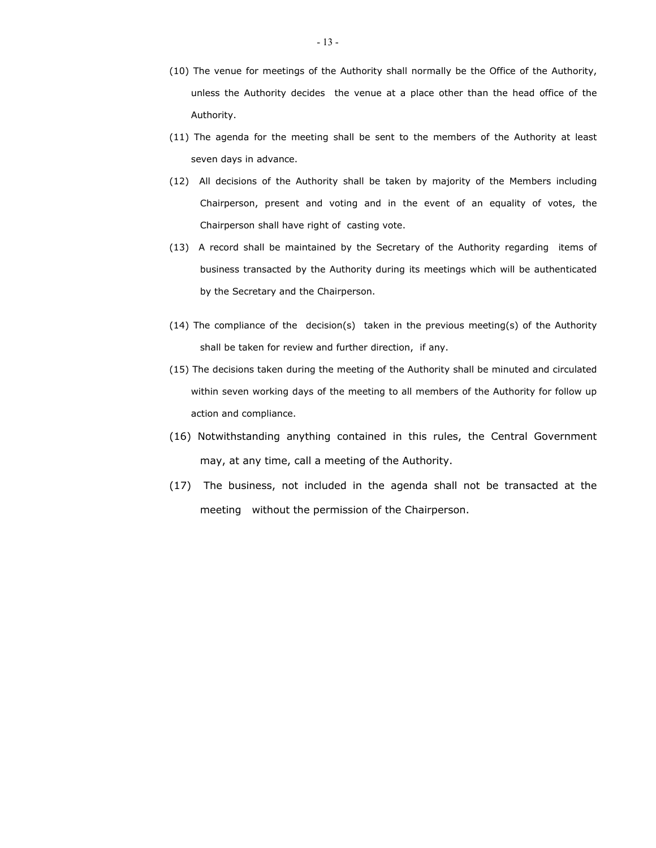- (10) The venue for meetings of the Authority shall normally be the Office of the Authority, unless the Authority decides the venue at a place other than the head office of the Authority.
- (11) The agenda for the meeting shall be sent to the members of the Authority at least seven days in advance.
- (12)All decisions of the Authority shall be taken by majority of the Members including Chairperson, present and voting and in the event of an equality of votes, the Chairperson shall have right of casting vote.
- (13) A record shall be maintained by the Secretary of the Authority regarding items of business transacted by the Authority during its meetings which will be authenticated by the Secretary and the Chairperson.
- (14) The compliance of the decision(s) taken in the previous meeting(s) of the Authority shall be taken for review and further direction, if any.
- (15) The decisions taken during the meeting of the Authority shall be minuted and circulated within seven working days of the meeting to all members of the Authority for follow up action and compliance.
- (16) Notwithstanding anything contained in this rules, the Central Government may, at any time, call a meeting of the Authority.
- (17) The business, not included in the agenda shall not be transacted at the meeting without the permission of the Chairperson.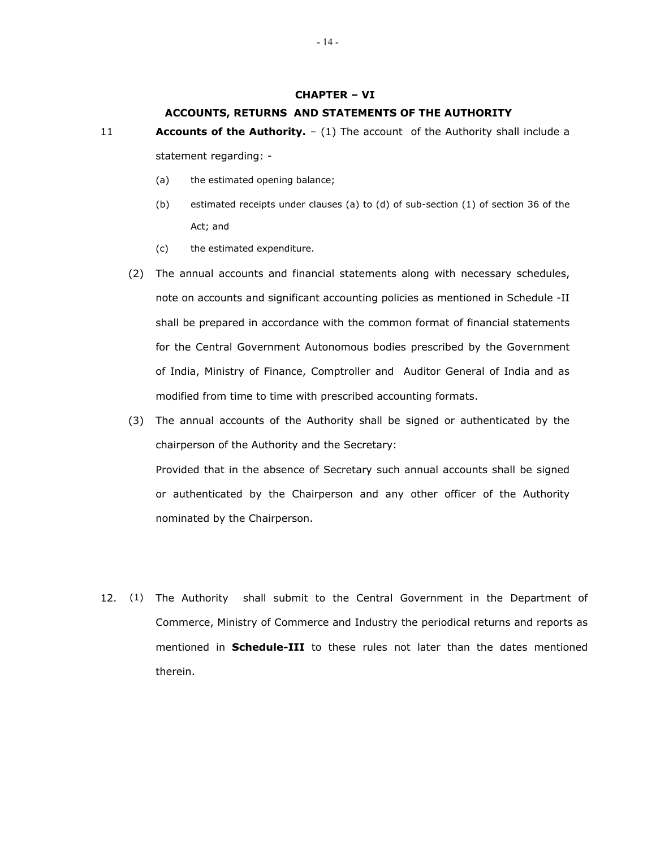#### **CHAPTER – VI**

#### **ACCOUNTS, RETURNS AND STATEMENTS OF THE AUTHORITY**

- 11 **Accounts of the Authority.** (1) The account of the Authority shall include a statement regarding: -
	- (a) the estimated opening balance;
	- (b) estimated receipts under clauses (a) to (d) of sub-section (1) of section 36 of the Act; and
	- (c) the estimated expenditure.
	- (2) The annual accounts and financial statements along with necessary schedules, note on accounts and significant accounting policies as mentioned in Schedule -II shall be prepared in accordance with the common format of financial statements for the Central Government Autonomous bodies prescribed by the Government of India, Ministry of Finance, Comptroller and Auditor General of India and as modified from time to time with prescribed accounting formats.
	- (3) The annual accounts of the Authority shall be signed or authenticated by the chairperson of the Authority and the Secretary: Provided that in the absence of Secretary such annual accounts shall be signed or authenticated by the Chairperson and any other officer of the Authority nominated by the Chairperson.
- 12. (1) The Authority shall submit to the Central Government in the Department of Commerce, Ministry of Commerce and Industry the periodical returns and reports as mentioned in **Schedule-III** to these rules not later than the dates mentioned therein.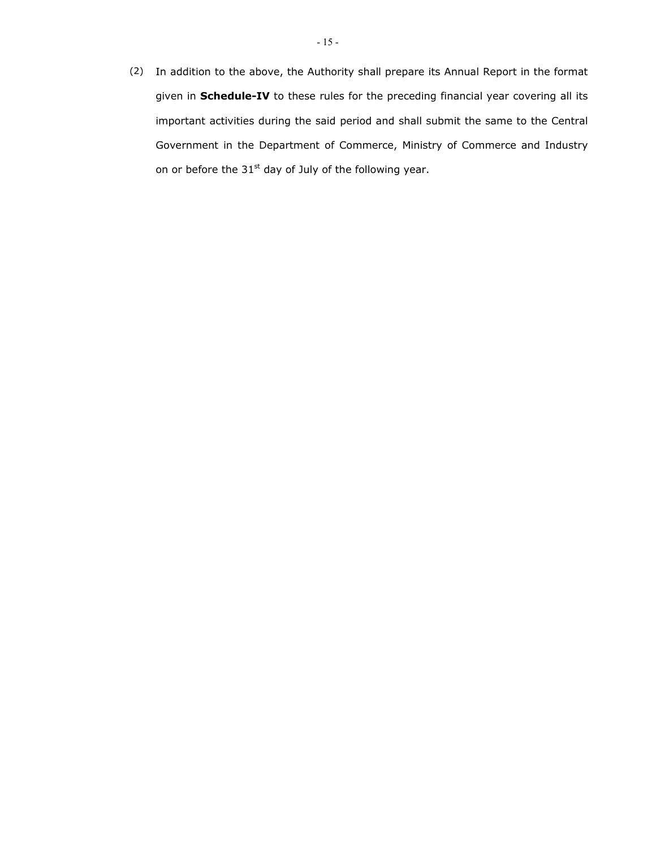(2) In addition to the above, the Authority shall prepare its Annual Report in the format given in **Schedule-IV** to these rules for the preceding financial year covering all its important activities during the said period and shall submit the same to the Central Government in the Department of Commerce, Ministry of Commerce and Industry on or before the  $31<sup>st</sup>$  day of July of the following year.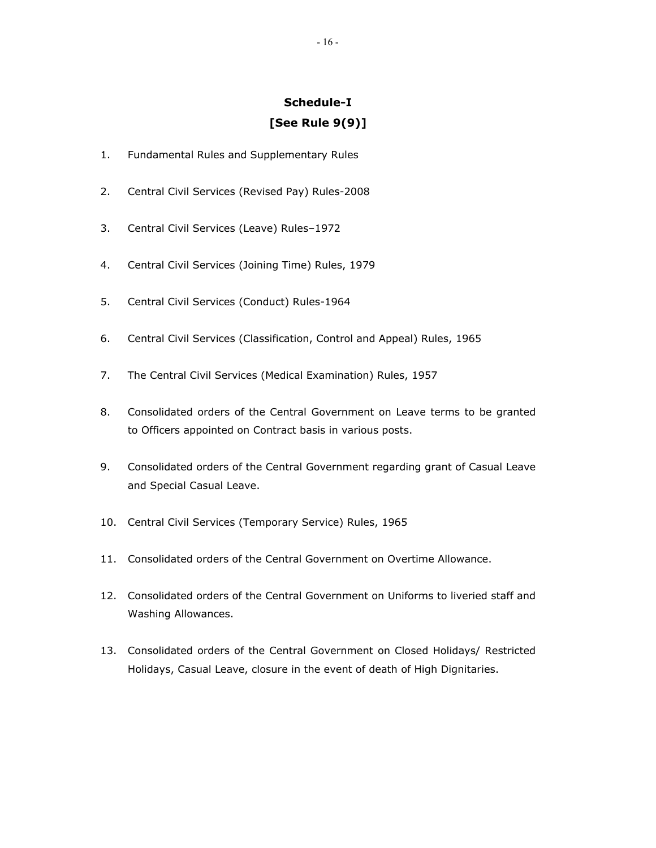# **Schedule-I [See Rule 9(9)]**

- 1. Fundamental Rules and Supplementary Rules
- 2. Central Civil Services (Revised Pay) Rules-2008
- 3. Central Civil Services (Leave) Rules–1972
- 4. Central Civil Services (Joining Time) Rules, 1979
- 5. Central Civil Services (Conduct) Rules-1964
- 6. Central Civil Services (Classification, Control and Appeal) Rules, 1965
- 7. The Central Civil Services (Medical Examination) Rules, 1957
- 8. Consolidated orders of the Central Government on Leave terms to be granted to Officers appointed on Contract basis in various posts.
- 9. Consolidated orders of the Central Government regarding grant of Casual Leave and Special Casual Leave.
- 10. Central Civil Services (Temporary Service) Rules, 1965
- 11. Consolidated orders of the Central Government on Overtime Allowance.
- 12. Consolidated orders of the Central Government on Uniforms to liveried staff and Washing Allowances.
- 13. Consolidated orders of the Central Government on Closed Holidays/ Restricted Holidays, Casual Leave, closure in the event of death of High Dignitaries.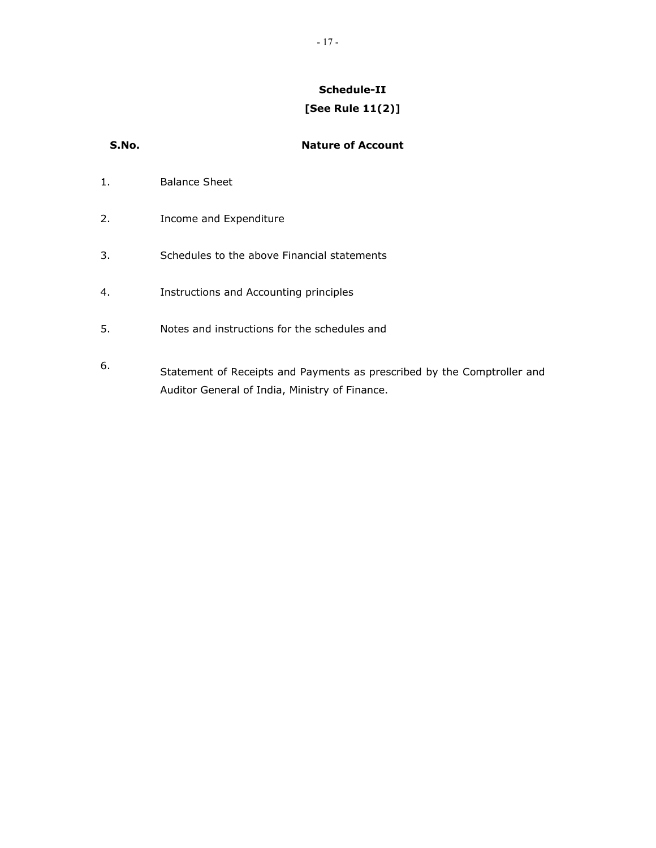# **Schedule-II [See Rule 11(2)]**

| S.No. | <b>Nature of Account</b>                                                                                                  |
|-------|---------------------------------------------------------------------------------------------------------------------------|
| 1.    | <b>Balance Sheet</b>                                                                                                      |
| 2.    | Income and Expenditure                                                                                                    |
| 3.    | Schedules to the above Financial statements                                                                               |
| 4.    | Instructions and Accounting principles                                                                                    |
| 5.    | Notes and instructions for the schedules and                                                                              |
| 6.    | Statement of Receipts and Payments as prescribed by the Comptroller and<br>Auditor General of India, Ministry of Finance. |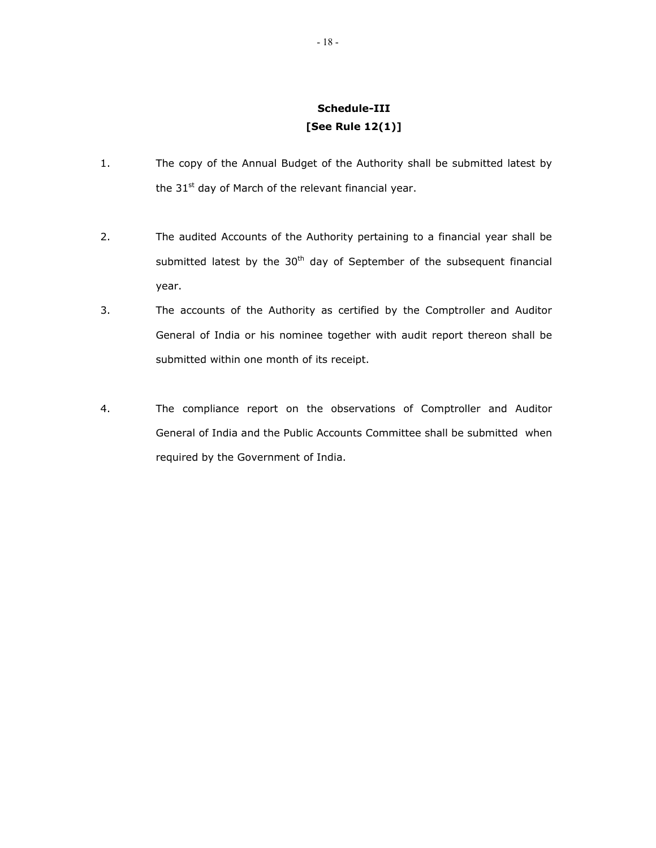# **Schedule-III [See Rule 12(1)]**

- 1. The copy of the Annual Budget of the Authority shall be submitted latest by the  $31<sup>st</sup>$  day of March of the relevant financial year.
- 2. The audited Accounts of the Authority pertaining to a financial year shall be submitted latest by the 30<sup>th</sup> day of September of the subsequent financial year.
- 3. The accounts of the Authority as certified by the Comptroller and Auditor General of India or his nominee together with audit report thereon shall be submitted within one month of its receipt.
- 4. The compliance report on the observations of Comptroller and Auditor General of India and the Public Accounts Committee shall be submitted when required by the Government of India.